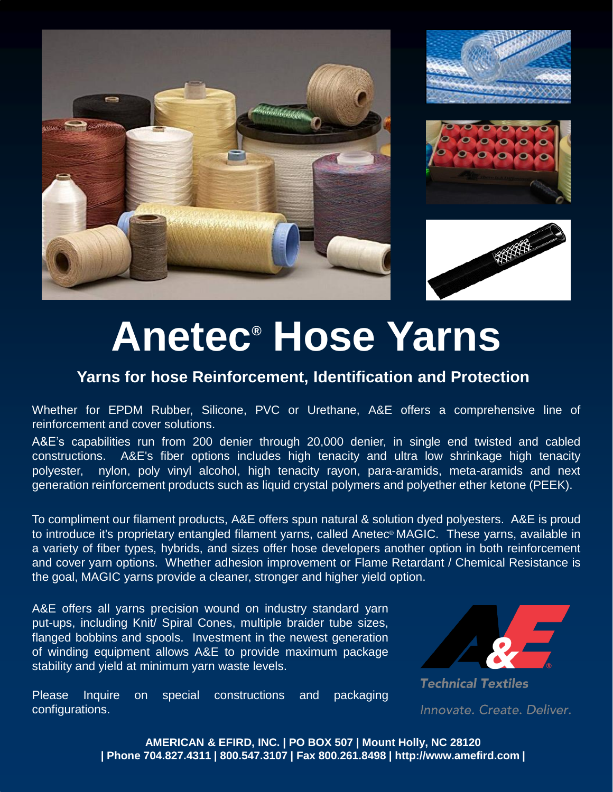







# **Anetec® Hose Yarns**

#### **Yarns for hose Reinforcement, Identification and Protection**

Whether for EPDM Rubber, Silicone, PVC or Urethane, A&E offers a comprehensive line of reinforcement and cover solutions.

A&E's capabilities run from 200 denier through 20,000 denier, in single end twisted and cabled constructions. A&E's fiber options includes high tenacity and ultra low shrinkage high tenacity polyester, nylon, poly vinyl alcohol, high tenacity rayon, para-aramids, meta-aramids and next generation reinforcement products such as liquid crystal polymers and polyether ether ketone (PEEK).

To compliment our filament products, A&E offers spun natural & solution dyed polyesters. A&E is proud to introduce it's proprietary entangled filament yarns, called Anetec® MAGIC. These yarns, available in a variety of fiber types, hybrids, and sizes offer hose developers another option in both reinforcement and cover yarn options. Whether adhesion improvement or Flame Retardant / Chemical Resistance is the goal, MAGIC yarns provide a cleaner, stronger and higher yield option.

A&E offers all yarns precision wound on industry standard yarn put-ups, including Knit/ Spiral Cones, multiple braider tube sizes, flanged bobbins and spools. Investment in the newest generation of winding equipment allows A&E to provide maximum package stability and yield at minimum yarn waste levels.

Please Inquire on special constructions and packaging configurations.



**Technical Textiles** Innovate. Create. Deliver.

**AMERICAN & EFIRD, INC. | PO BOX 507 | Mount Holly, NC 28120 | Phone 704.827.4311 | 800.547.3107 | Fax 800.261.8498 | http://www.amefird.com |**